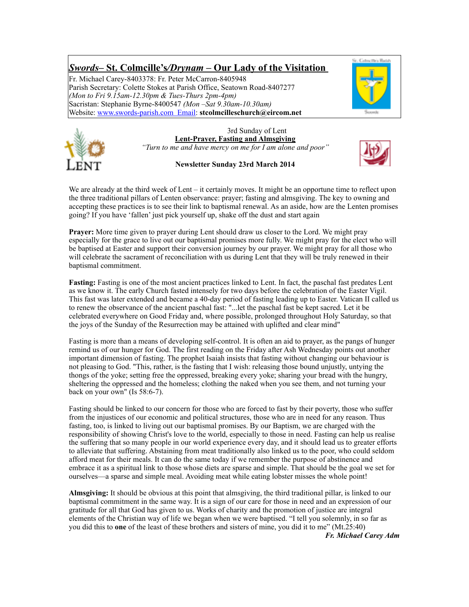# *Swords***– St. Colmcille's***/Drynam* **– Our Lady of the Visitation**

Fr. Michael Carey-8403378: Fr. Peter McCarron-8405948 Parish Secretary: Colette Stokes at Parish Office, Seatown Road-8407277 *(Mon to Fri 9.15am-12.30pm & Tues-Thurs 2pm-4pm)* Sacristan: Stephanie Byrne-8400547 *(Mon –Sat 9.30am-10.30am)* Website: [www.swords-parish.com Email](http://www.swords-parish.com%20%20email): **stcolmcilleschurch@eircom.net**





3rd Sunday of Lent **Lent-Prayer, Fasting and Almsgiving**  *"Turn to me and have mercy on me for I am alone and poor"* 

**Newsletter Sunday 23rd March 2014** 



We are already at the third week of Lent – it certainly moves. It might be an opportune time to reflect upon the three traditional pillars of Lenten observance: prayer; fasting and almsgiving. The key to owning and accepting these practices is to see their link to baptismal renewal. As an aside, how are the Lenten promises going? If you have 'fallen' just pick yourself up, shake off the dust and start again

**Prayer:** More time given to prayer during Lent should draw us closer to the Lord. We might pray especially for the grace to live out our baptismal promises more fully. We might pray for the elect who will be baptised at Easter and support their conversion journey by our prayer. We might pray for all those who will celebrate the sacrament of reconciliation with us during Lent that they will be truly renewed in their baptismal commitment.

**Fasting:** Fasting is one of the most ancient practices linked to Lent. In fact, the paschal fast predates Lent as we know it. The early Church fasted intensely for two days before the celebration of the Easter Vigil. This fast was later extended and became a 40-day period of fasting leading up to Easter. Vatican II called us to renew the observance of the ancient paschal fast: "...let the paschal fast be kept sacred. Let it be celebrated everywhere on Good Friday and, where possible, prolonged throughout Holy Saturday, so that the joys of the Sunday of the Resurrection may be attained with uplifted and clear mind"

Fasting is more than a means of developing self-control. It is often an aid to prayer, as the pangs of hunger remind us of our hunger for God. The first reading on the Friday after Ash Wednesday points out another important dimension of fasting. The prophet Isaiah insists that fasting without changing our behaviour is not pleasing to God. "This, rather, is the fasting that I wish: releasing those bound unjustly, untying the thongs of the yoke; setting free the oppressed, breaking every yoke; sharing your bread with the hungry, sheltering the oppressed and the homeless; clothing the naked when you see them, and not turning your back on your own" (Is  $58:6-7$ ).

Fasting should be linked to our concern for those who are forced to fast by their poverty, those who suffer from the injustices of our economic and political structures, those who are in need for any reason. Thus fasting, too, is linked to living out our baptismal promises. By our Baptism, we are charged with the responsibility of showing Christ's love to the world, especially to those in need. Fasting can help us realise the suffering that so many people in our world experience every day, and it should lead us to greater efforts to alleviate that suffering. Abstaining from meat traditionally also linked us to the poor, who could seldom afford meat for their meals. It can do the same today if we remember the purpose of abstinence and embrace it as a spiritual link to those whose diets are sparse and simple. That should be the goal we set for ourselves—a sparse and simple meal. Avoiding meat while eating lobster misses the whole point!

**Almsgiving:** It should be obvious at this point that almsgiving, the third traditional pillar, is linked to our baptismal commitment in the same way. It is a sign of our care for those in need and an expression of our gratitude for all that God has given to us. Works of charity and the promotion of justice are integral elements of the Christian way of life we began when we were baptised. "I tell you solemnly, in so far as you did this to **one** of the least of these brothers and sisters of mine, you did it to me" (Mt.25:40)

*Fr. Michael Carey Adm*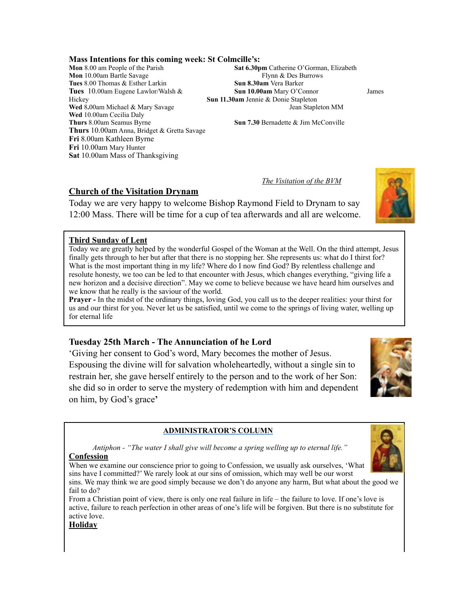# **Mass Intentions for this coming week: St Colmcille's:**

**Mon** 10.00am Bartle Savage Flynn & Des Burrows **Tues** 8.00 Thomas & Esther Larkin **Sun 8.30am** Vera Barker **Tues** 10.00am Eugene Lawlor/Walsh & **Sun 10.00am** Mary O'Connor James Hickey **Sun 11.30am** Jennie & Donie Stapleton **Wed** 8.00am Michael & Mary Savage Jean Stapleton MM Wed 10.00am Cecilia Daly<br>Thurs 8.00am Seamus Byrne **Thurs** 10.00am Anna, Bridget & Gretta Savage **Fri** 8.00am Kathleen Byrne **Fri** 10.00am Mary Hunter **Sat** 10.00am Mass of Thanksgiving

**Sat 6.30pm** Catherine O'Gorman, Elizabeth

**Sun 7.30 Bernadette & Jim McConville** 

*The Visitation of the BVM*

#### **Church of the Visitation Drynam**

Today we are very happy to welcome Bishop Raymond Field to Drynam to say 12:00 Mass. There will be time for a cup of tea afterwards and all are welcome.

#### **Third Sunday of Lent**

Today we are greatly helped by the wonderful Gospel of the Woman at the Well. On the third attempt, Jesus finally gets through to her but after that there is no stopping her. She represents us: what do I thirst for? What is the most important thing in my life? Where do I now find God? By relentless challenge and resolute honesty, we too can be led to that encounter with Jesus, which changes everything, "giving life a new horizon and a decisive direction". May we come to believe because we have heard him ourselves and we know that he really is the saviour of the world.

**Prayer -** In the midst of the ordinary things, loving God, you call us to the deeper realities: your thirst for us and our thirst for you. Never let us be satisfied, until we come to the springs of living water, welling up for eternal life

#### **Tuesday 25th March - The Annunciation of he Lord**

'Giving her consent to God's word, Mary becomes the mother of Jesus. Espousing the divine will for salvation wholeheartedly, without a single sin to restrain her, she gave herself entirely to the person and to the work of her Son: she did so in order to serve the mystery of redemption with him and dependent on him, by God's grace**'**

#### **ADMINISTRATOR'S COLUMN**

 *Antiphon - "The water I shall give will become a spring welling up to eternal life."*  **Confession** 

When we examine our conscience prior to going to Confession, we usually ask ourselves, 'What sins have I committed?' We rarely look at our sins of omission, which may well be our worst

sins. We may think we are good simply because we don't do anyone any harm, But what about the good we fail to do?

From a Christian point of view, there is only one real failure in life – the failure to love. If one's love is active, failure to reach perfection in other areas of one's life will be forgiven. But there is no substitute for active love.

#### **Holiday**





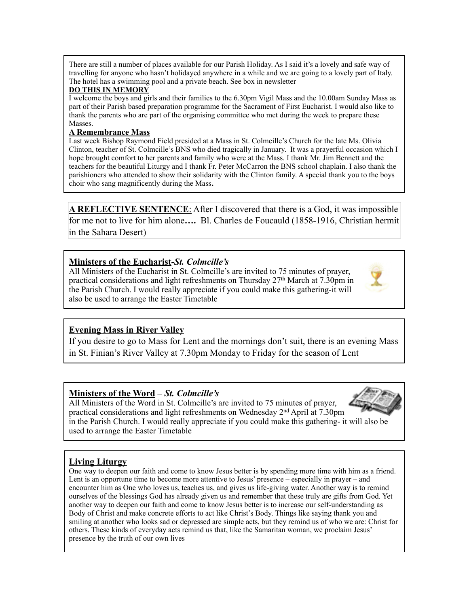There are still a number of places available for our Parish Holiday. As I said it's a lovely and safe way of travelling for anyone who hasn't holidayed anywhere in a while and we are going to a lovely part of Italy. The hotel has a swimming pool and a private beach. See box in newsletter

#### **DO THIS IN MEMORY**

I welcome the boys and girls and their families to the 6.30pm Vigil Mass and the 10.00am Sunday Mass as part of their Parish based preparation programme for the Sacrament of First Eucharist. I would also like to thank the parents who are part of the organising committee who met during the week to prepare these Masses.

#### **A Remembrance Mass**

Last week Bishop Raymond Field presided at a Mass in St. Colmcille's Church for the late Ms. Olivia Clinton, teacher of St. Colmcille's BNS who died tragically in January. It was a prayerful occasion which I hope brought comfort to her parents and family who were at the Mass. I thank Mr. Jim Bennett and the teachers for the beautiful Liturgy and I thank Fr. Peter McCarron the BNS school chaplain. I also thank the parishioners who attended to show their solidarity with the Clinton family. A special thank you to the boys choir who sang magnificently during the Mass.

**A REFLECTIVE SENTENCE**: After I discovered that there is a God, it was impossible for me not to live for him alone**….** Bl. Charles de Foucauld (1858-1916, Christian hermit in the Sahara Desert)

# **Ministers of the Eucharist***-St. Colmcille's*

All Ministers of the Eucharist in St. Colmcille's are invited to 75 minutes of prayer, practical considerations and light refreshments on Thursday 27th March at 7.30pm in the Parish Church. I would really appreciate if you could make this gathering-it will also be used to arrange the Easter Timetable



# **Evening Mass in River Valley**

If you desire to go to Mass for Lent and the mornings don't suit, there is an evening Mass in St. Finian's River Valley at 7.30pm Monday to Friday for the season of Lent

### **Ministers of the Word –** *St. Colmcille's*

All Ministers of the Word in St. Colmcille's are invited to 75 minutes of prayer, practical considerations and light refreshments on Wednesday  $2<sup>nd</sup>$  April at 7.30pm in the Parish Church. I would really appreciate if you could make this gathering- it will also be used to arrange the Easter Timetable

# **Living Liturgy**

One way to deepen our faith and come to know Jesus better is by spending more time with him as a friend. Lent is an opportune time to become more attentive to Jesus' presence – especially in prayer – and encounter him as One who loves us, teaches us, and gives us life-giving water. Another way is to remind ourselves of the blessings God has already given us and remember that these truly are gifts from God. Yet another way to deepen our faith and come to know Jesus better is to increase our self-understanding as Body of Christ and make concrete efforts to act like Christ's Body. Things like saying thank you and smiling at another who looks sad or depressed are simple acts, but they remind us of who we are: Christ for others. These kinds of everyday acts remind us that, like the Samaritan woman, we proclaim Jesus' presence by the truth of our own lives